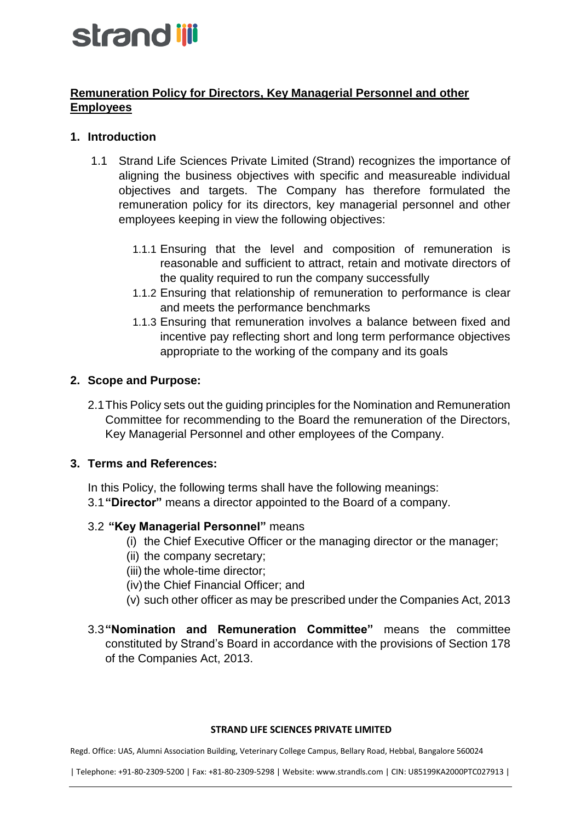# strand ijji

# **Remuneration Policy for Directors, Key Managerial Personnel and other Employees**

# **1. Introduction**

- 1.1 Strand Life Sciences Private Limited (Strand) recognizes the importance of aligning the business objectives with specific and measureable individual objectives and targets. The Company has therefore formulated the remuneration policy for its directors, key managerial personnel and other employees keeping in view the following objectives:
	- 1.1.1 Ensuring that the level and composition of remuneration is reasonable and sufficient to attract, retain and motivate directors of the quality required to run the company successfully
	- 1.1.2 Ensuring that relationship of remuneration to performance is clear and meets the performance benchmarks
	- 1.1.3 Ensuring that remuneration involves a balance between fixed and incentive pay reflecting short and long term performance objectives appropriate to the working of the company and its goals

# **2. Scope and Purpose:**

2.1This Policy sets out the guiding principles for the Nomination and Remuneration Committee for recommending to the Board the remuneration of the Directors, Key Managerial Personnel and other employees of the Company.

### **3. Terms and References:**

In this Policy, the following terms shall have the following meanings: 3.1**"Director"** means a director appointed to the Board of a company.

# 3.2 **"Key Managerial Personnel"** means

- (i) the Chief Executive Officer or the managing director or the manager;
- (ii) the company secretary;
- (iii) the whole-time director;
- (iv) the Chief Financial Officer; and
- (v) such other officer as may be prescribed under the Companies Act, 2013
- 3.3**"Nomination and Remuneration Committee"** means the committee constituted by Strand's Board in accordance with the provisions of Section 178 of the Companies Act, 2013.

#### **STRAND LIFE SCIENCES PRIVATE LIMITED**

Regd. Office: UAS, Alumni Association Building, Veterinary College Campus, Bellary Road, Hebbal, Bangalore 560024

| Telephone: +91-80-2309-5200 | Fax: +81-80-2309-5298 | Website: www.strandls.com | CIN: U85199KA2000PTC027913 |